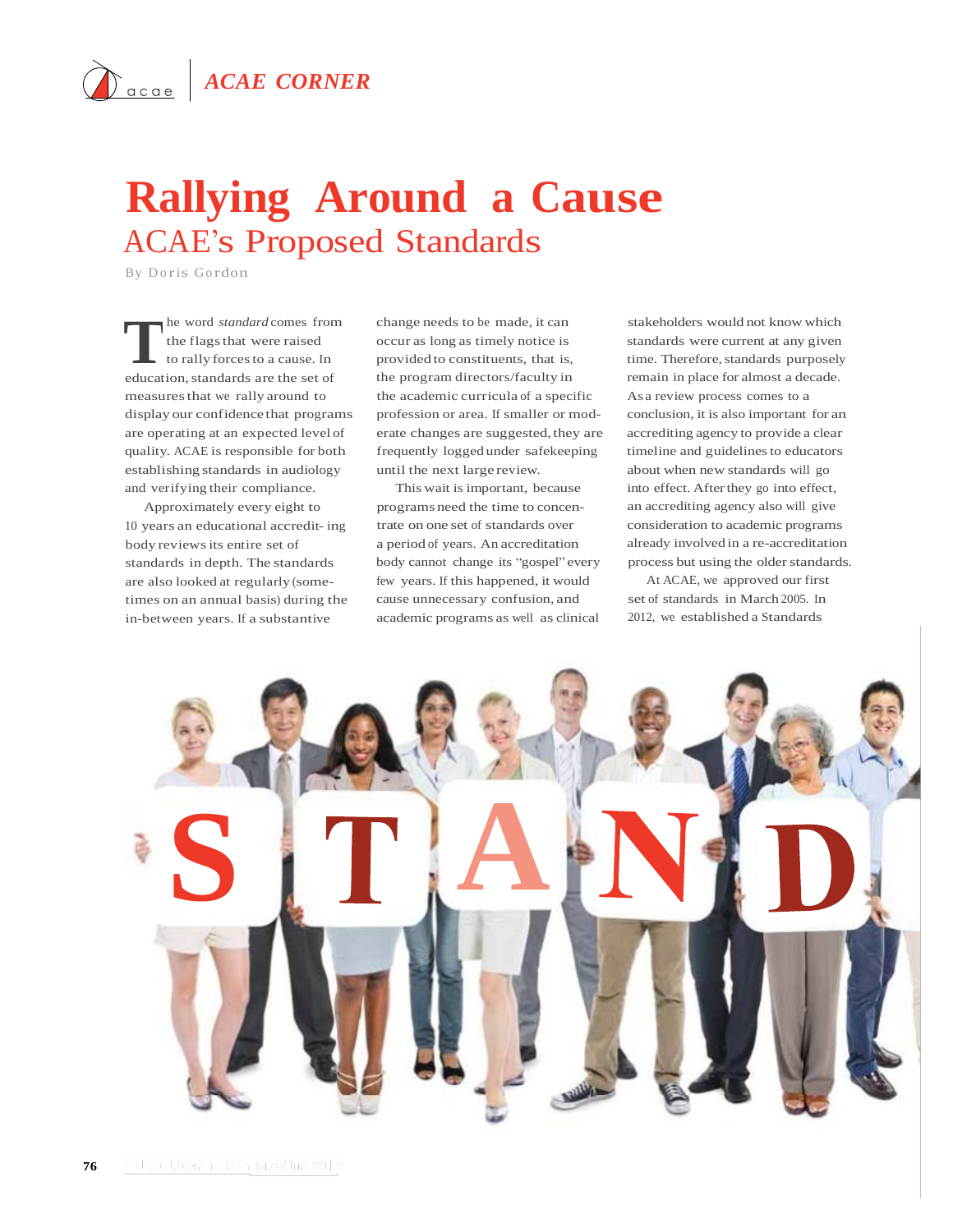## **Rallying Around a Cause** ACAE's Proposed Standards

By D o ris Go rdon

The word *standard* comes from<br>the flags that were raised<br>to rally forces to a cause. In<br>education, standards are the set of he word *standard* comes from the flagsthat were raised to rally forces to a cause. In measuresthat we rally around to display our confidence that programs are operating at an expected level of quality. ACAE is responsible for both establishing standards in audiology and verifying their compliance.

Approximately every eight to 10 years an educational accredit- ing body reviewsits entire set of standards in depth. The standards are also looked at regularly (sometimes on an annual basis) during the in-between years. If a substantive

change needs to be made, it can occur as long as timely notice is provided to constituents, that is, the program directors/faculty in the academic curricula of a specific profession or area. If smaller or moderate changes are suggested, they are frequently logged under safekeeping until the next large review.

This wait is important, because programs need the time to concentrate on one set of standards over a period of years. An accreditation body cannot change its "gospel" every few years. If this happened, it would cause unnecessary confusion, and academic programs as well as clinical

stakeholders would not know which standards were current at any given time. Therefore, standards purposely remain in place for almost a decade. As a review process comes to a conclusion, it is also important for an accrediting agency to provide a clear timeline and guidelines to educators about when new standards will go into effect. After they go into effect, an accrediting agency also will give consideration to academic programs already involved in a re-accreditation process but using the older standards.

At ACAE, we approved our first set of standards in March 2005. In 2012, we established a Standards